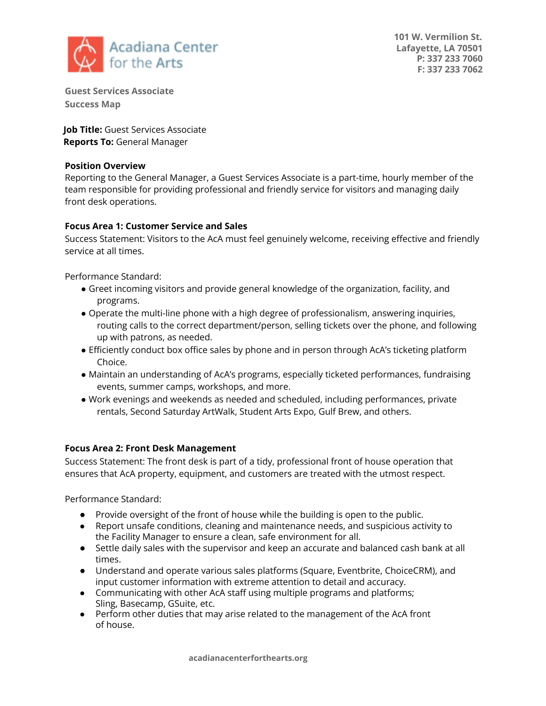

**101 W. Vermilion St. Lafayette, LA 70501 P: 337 233 7060 F: 337 233 7062**

**Guest Services Associate Success Map**

**Job Title:** Guest Services Associate **Reports To:** General Manager

## **Position Overview**

Reporting to the General Manager, a Guest Services Associate is a part-time, hourly member of the team responsible for providing professional and friendly service for visitors and managing daily front desk operations.

## **Focus Area 1: Customer Service and Sales**

Success Statement: Visitors to the AcA must feel genuinely welcome, receiving effective and friendly service at all times.

Performance Standard:

- Greet incoming visitors and provide general knowledge of the organization, facility, and programs.
- Operate the multi-line phone with a high degree of professionalism, answering inquiries, routing calls to the correct department/person, selling tickets over the phone, and following up with patrons, as needed.
- Efficiently conduct box office sales by phone and in person through AcA's ticketing platform Choice.
- Maintain an understanding of AcA's programs, especially ticketed performances, fundraising events, summer camps, workshops, and more.
- Work evenings and weekends as needed and scheduled, including performances, private rentals, Second Saturday ArtWalk, Student Arts Expo, Gulf Brew, and others.

## **Focus Area 2: Front Desk Management**

Success Statement: The front desk is part of a tidy, professional front of house operation that ensures that AcA property, equipment, and customers are treated with the utmost respect.

Performance Standard:

- Provide oversight of the front of house while the building is open to the public.
- Report unsafe conditions, cleaning and maintenance needs, and suspicious activity to the Facility Manager to ensure a clean, safe environment for all.
- Settle daily sales with the supervisor and keep an accurate and balanced cash bank at all times.
- Understand and operate various sales platforms (Square, Eventbrite, ChoiceCRM), and input customer information with extreme attention to detail and accuracy.
- Communicating with other AcA staff using multiple programs and platforms; Sling, Basecamp, GSuite, etc.
- Perform other duties that may arise related to the management of the AcA front of house.